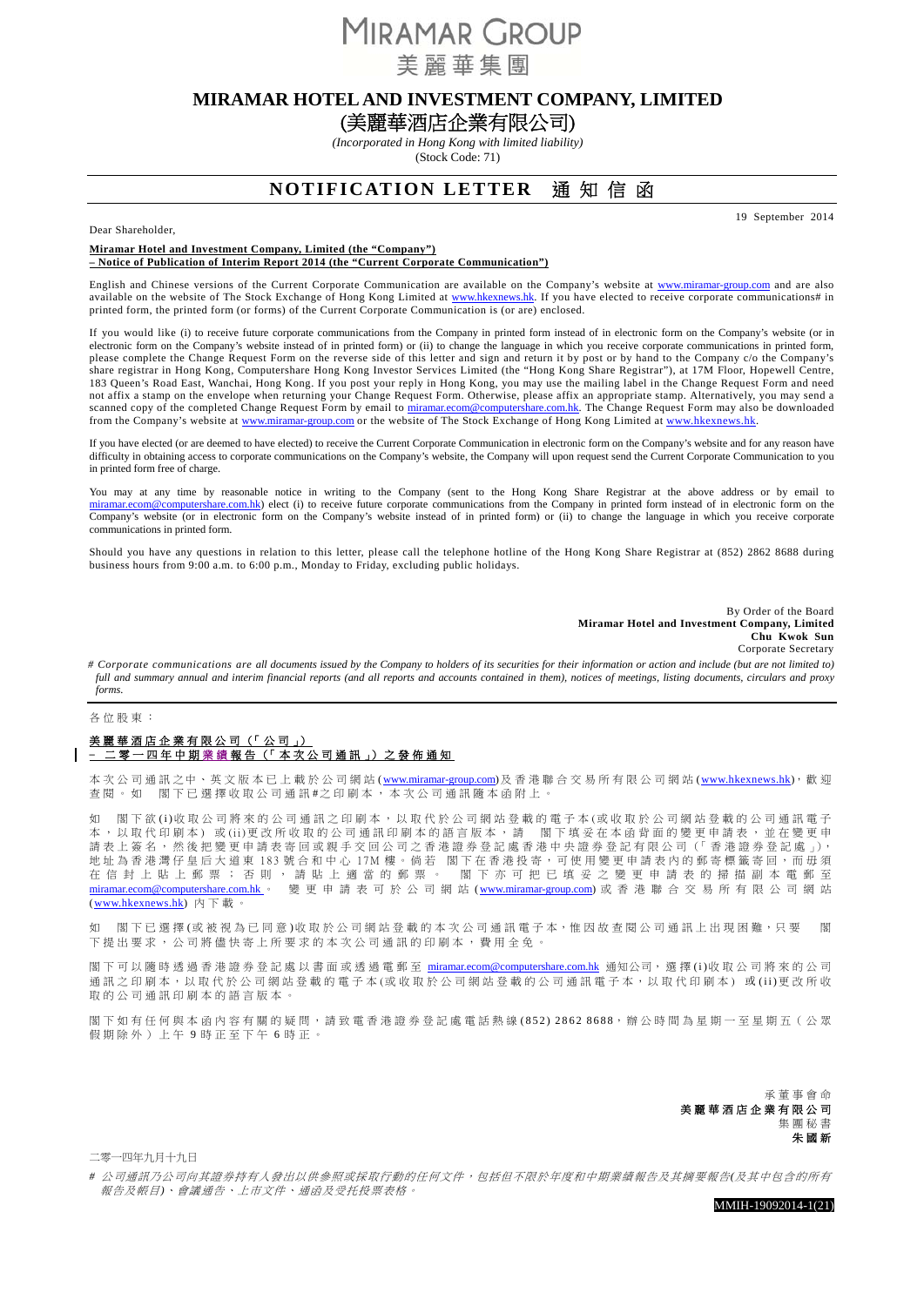**MIRAMAR GROUP** 美麗華集團

## **MIRAMAR HOTEL AND INVESTMENT COMPANY, LIMITED**

# (美麗華酒店企業有限公司)

*(Incorporated in Hong Kong with limited liability)*  (Stock Code: 71)

# **NOTIFICATION LETTER** 通 知 信 函

19 September 2014

#### Dear Shareholder,

#### **Miramar Hotel and Investment Company, Limited (the "Company") – Notice of Publication of Interim Report 2014 (the "Current Corporate Communication")**

English and Chinese versions of the Current Corporate Communication are available on the Company's website at www.miramar-group.com and are also available on the website of The Stock Exchange of Hong Kong Limited at www.hkexnews.hk. If you have elected to receive corporate communications# in printed form, the printed form (or forms) of the Current Corporate Communication is (or are) enclosed.

If you would like (i) to receive future corporate communications from the Company in printed form instead of in electronic form on the Company's website (or in electronic form on the Company's website instead of in printed form) or (ii) to change the language in which you receive corporate communications in printed form, please complete the Change Request Form on the reverse side of this letter and sign and return it by post or by hand to the Company c/o the Company's share registrar in Hong Kong, Computershare Hong Kong Investor Services Limited (the "Hong Kong Share Registrar"), at 17M Floor, Hopewell Centre, 183 Queen's Road East, Wanchai, Hong Kong. If you post your reply in Hong Kong, you may use the mailing label in the Change Request Form and need not affix a stamp on the envelope when returning your Change Request Form. Otherwise, please affix an appropriate stamp. Alternatively, you may send a scanned copy of the completed Change Request Form by email to miramar.ecom@computershare.com.hk. The Change Request Form may also be downloaded from the Company's website at www.miramar-group.com or the website of The Stock Exchange of Hong Kong Limited at www.hkexnews.hk

If you have elected (or are deemed to have elected) to receive the Current Corporate Communication in electronic form on the Company's website and for any reason have difficulty in obtaining access to corporate communications on the Company's website, the Company will upon request send the Current Corporate Communication to you in printed form free of charge.

You may at any time by reasonable notice in writing to the Company (sent to the Hong Kong Share Registrar at the above address or by email to om@computershare.com.hk) elect (i) to receive future corporate communications from the Company in printed form instead of in electronic form on the Company's website (or in electronic form on the Company's website instead of in printed form) or (ii) to change the language in which you receive corporate communications in printed form.

Should you have any questions in relation to this letter, please call the telephone hotline of the Hong Kong Share Registrar at (852) 2862 8688 during business hours from 9:00 a.m. to 6:00 p.m., Monday to Friday, excluding public holidays.

> By Order of the Board **Miramar Hotel and Investment Company, Limited Chu Kwok Sun**  Corporate Secretary

*# Corporate communications are all documents issued by the Company to holders of its securities for their information or action and include (but are not limited to)*  full and summary annual and interim financial reports (and all reports and accounts contained in them), notices of meetings, listing documents, circulars and proxy *forms.* 

#### 各位股東:

### 美麗華酒店企業有限公司(「公司」) **–** 二零一四年中期 業 績 報告(「本次公司通訊」)之發佈通知

本 次 公 司 通 訊 之 中、 英 文 版 本 已 上 載 於 公 司 網 站 (www.miramar-group.com)及 香 港 聯 合 交 易 所 有 限 公 司 網 站 (www.hkexnews.hk), 歡 迎 查閱。如 閣下已選擇收取公司通訊 #之印刷本,本次公司通訊隨本函附上。

如 閣下欲(i)收取公司將來的公司通訊之印刷本,以取代於公司網站登載的電子本(或收取於公司網站登載的公司通訊電子 本, 以 取 代 印 刷 本) 或 (ii)更 改 所 收 取 的 公 司 通 訊 印 刷 本 的 語 言 版 本 , 請 图 下 填 妥 在 本 函 背 面 的 變 更 申 請 表 , 並 在 變 更 申 請表上簽名,然後把變更申請表寄回或親手交回公司之香港證券登記處香港中央證券登記有限公司(「香港證券登記處」), 地址為香港灣仔皇后大道東 183 號合和中心 17M 樓。倘若 閣下在香港投寄,可使用變更申請表內的郵寄標籤寄回,而毋須 在信封上貼上郵票;否則,請貼上適當的郵票。 閣下亦可把已填妥之變更申請表的掃描副本電郵至 miramar.ecom@computershare.com.hk 。 變更申請表可於公司網站 ( www.miramar-group.com) 或香港聯合交易所有限公司網站 ( www.hkexnews.hk) 內下載。

如 閣下已選擇(或被視為已同意)收取於公司網站登載的本次公司通訊電子本,惟因故杳閱公司通訊上出現困難,只要 閣 下提出要求,公司將儘快寄上所要求的本次公司通訊的印刷本,費用全免。

閣下可以隨時透過香港證券登記處以書面或透過電郵至 miramar.ecom@computershare.com.hk 通知公司, 選擇(i)收取公司將來的公司 通訊之 印 刷 本, 以 取 代 於 公 司 網 站 登 載 的 電 子 本 (或 收 取 於 公 司 網 站 登 載 的 公 司 通 訊 電 子 本, 以 取 代 印 刷 本) 或 (ii)更 改 所 收 取的公司通訊印刷本的語言版本。

閣下如有任何與本函內容有關的疑問,請致電香港證券登記處電話熱線(852) 2862 8688,辦公時間為星期一至星期五 (公眾 假期除外)上午 9 時正至下午 6 時正。

> 承董事會命 美麗華酒店企業有限公司 集團秘書 朱國新

二零一四年九月十九日

*#* 公司通訊乃公司向其證券持有人發出以供參照或採取行動的任何文件,包括但不限於年度和中期業績報告及其摘要報告*(*及其中包含的所有 報告及帳目*)*、會議通告、上市文件、通函及受托投票表格。

MMIH-19092014-1(21)